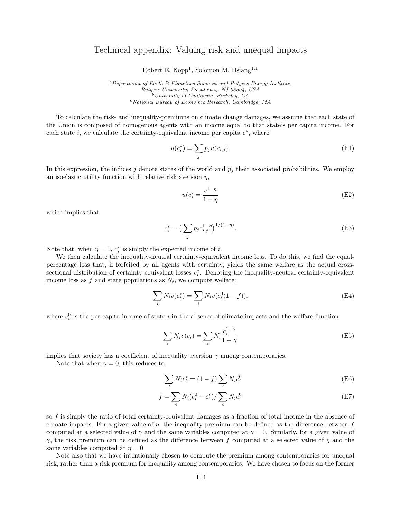## Technical appendix: Valuing risk and unequal impacts

Robert E. Kopp<sup>1</sup>, Solomon M. Hsiang<sup>1,1</sup>

<sup>a</sup>Department of Earth & Planetary Sciences and Rutgers Energy Institute, Rutgers University, Piscataway, NJ 08854, USA  $<sup>b</sup> University of California, Berkeley, CA$ </sup>  $c$ National Bureau of Economic Research, Cambridge, MA

To calculate the risk- and inequality-premiums on climate change damages, we assume that each state of the Union is composed of homogenous agents with an income equal to that state's per capita income. For each state  $i$ , we calculate the certainty-equivalent income per capita  $c^*$ , where

$$
u(c_i^*) = \sum_j p_j u(c_{i,j}).
$$
\n(E1)

In this expression, the indices  $j$  denote states of the world and  $p_j$  their associated probabilities. We employ an isoelastic utility function with relative risk aversion  $\eta$ ,

$$
u(c) = \frac{c^{1-\eta}}{1-\eta}
$$
 (E2)

which implies that

$$
c_i^* = \left(\sum_j p_j c_{i,j}^{1-\eta}\right)^{1/(1-\eta)}.\tag{E3}
$$

Note that, when  $\eta = 0$ ,  $c_i^*$  is simply the expected income of *i*.

We then calculate the inequality-neutral certainty-equivalent income loss. To do this, we find the equalpercentage loss that, if forfeited by all agents with certainty, yields the same welfare as the actual crosssectional distribution of certainty equivalent losses  $c_i^*$ . Denoting the inequality-neutral certainty-equivalent income loss as  $f$  and state populations as  $N_i$ , we compute welfare:

$$
\sum_{i} N_i v(c_i^*) = \sum_{i} N_i v(c_i^0 (1 - f)),
$$
\n(E4)

where  $c_i^0$  is the per capita income of state i in the absence of climate impacts and the welfare function

$$
\sum_{i} N_i v(c_i) = \sum_{i} N_i \frac{c_i^{1-\gamma}}{1-\gamma}
$$
 (E5)

implies that society has a coefficient of inequality aversion  $\gamma$  among contemporaries.

Note that when  $\gamma = 0$ , this reduces to

$$
\sum_{i} N_i c_i^* = (1 - f) \sum_{i} N_i c_i^0
$$
 (E6)

$$
f = \sum_{i} N_i (c_i^0 - c_i^*) / \sum_{i} N_i c_i^0
$$
 (E7)

so f is simply the ratio of total certainty-equivalent damages as a fraction of total income in the absence of climate impacts. For a given value of  $\eta$ , the inequality premium can be defined as the difference between f computed at a selected value of  $\gamma$  and the same variables computed at  $\gamma = 0$ . Similarly, for a given value of  $\gamma$ , the risk premium can be defined as the difference between f computed at a selected value of  $\eta$  and the same variables computed at  $\eta = 0$ 

Note also that we have intentionally chosen to compute the premium among contemporaries for unequal risk, rather than a risk premium for inequality among contemporaries. We have chosen to focus on the former